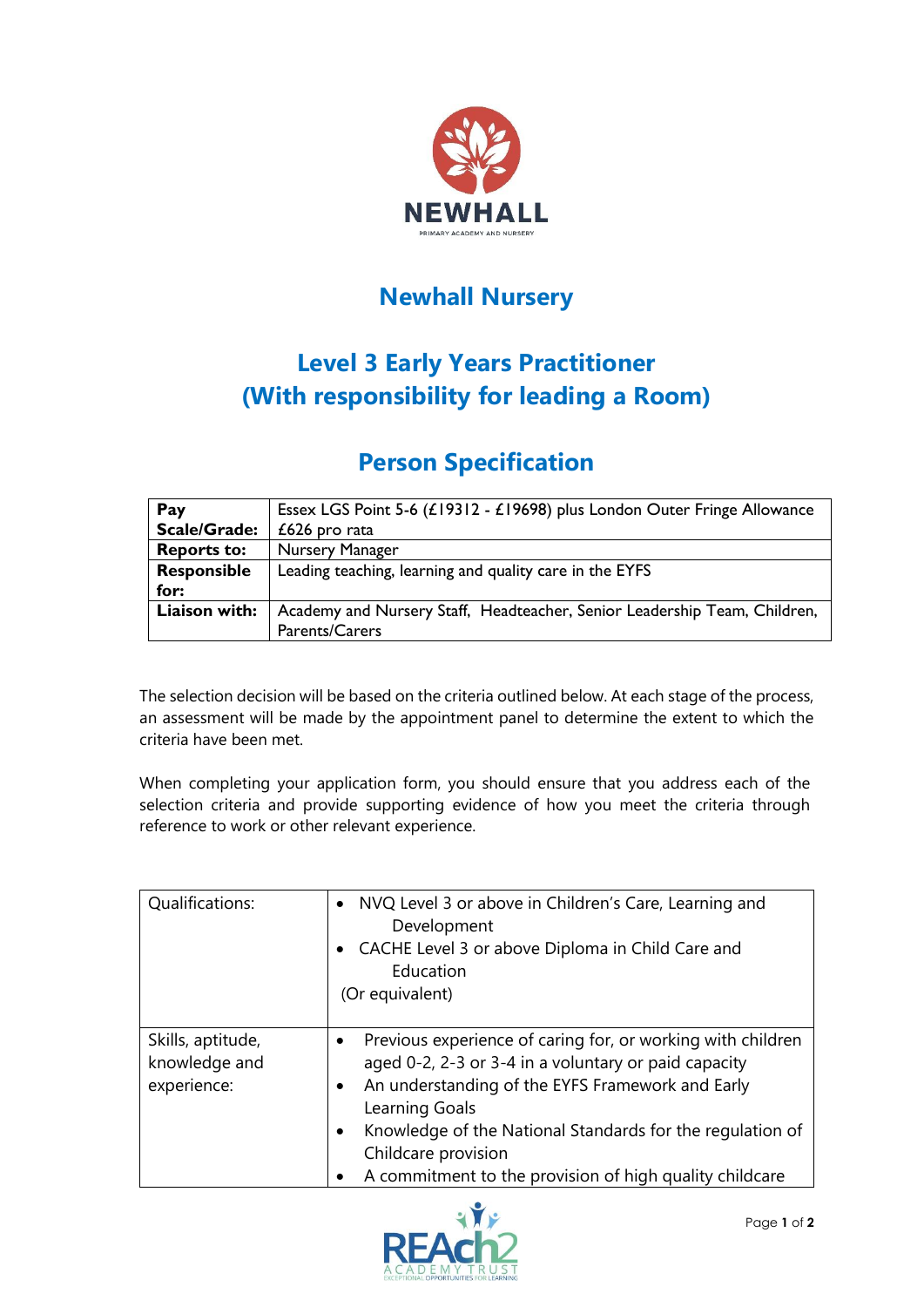

## **Newhall Nursery**

## **Level 3 Early Years Practitioner (With responsibility for leading a Room)**

## **Person Specification**

| Pay                 | Essex LGS Point 5-6 (£19312 - £19698) plus London Outer Fringe Allowance  |  |
|---------------------|---------------------------------------------------------------------------|--|
| <b>Scale/Grade:</b> | $£626$ pro rata                                                           |  |
| <b>Reports to:</b>  | Nursery Manager                                                           |  |
| Responsible         | Leading teaching, learning and quality care in the EYFS                   |  |
| for:                |                                                                           |  |
| Liaison with:       | Academy and Nursery Staff, Headteacher, Senior Leadership Team, Children, |  |
|                     | <b>Parents/Carers</b>                                                     |  |

The selection decision will be based on the criteria outlined below. At each stage of the process, an assessment will be made by the appointment panel to determine the extent to which the criteria have been met.

When completing your application form, you should ensure that you address each of the selection criteria and provide supporting evidence of how you meet the criteria through reference to work or other relevant experience.

| Qualifications:                                   | • NVQ Level 3 or above in Children's Care, Learning and<br>Development<br>CACHE Level 3 or above Diploma in Child Care and<br>Education<br>(Or equivalent)                                                                                                                                                                                         |
|---------------------------------------------------|----------------------------------------------------------------------------------------------------------------------------------------------------------------------------------------------------------------------------------------------------------------------------------------------------------------------------------------------------|
| Skills, aptitude,<br>knowledge and<br>experience: | Previous experience of caring for, or working with children<br>aged 0-2, 2-3 or 3-4 in a voluntary or paid capacity<br>An understanding of the EYFS Framework and Early<br>٠<br>Learning Goals<br>Knowledge of the National Standards for the regulation of<br>٠<br>Childcare provision<br>A commitment to the provision of high quality childcare |